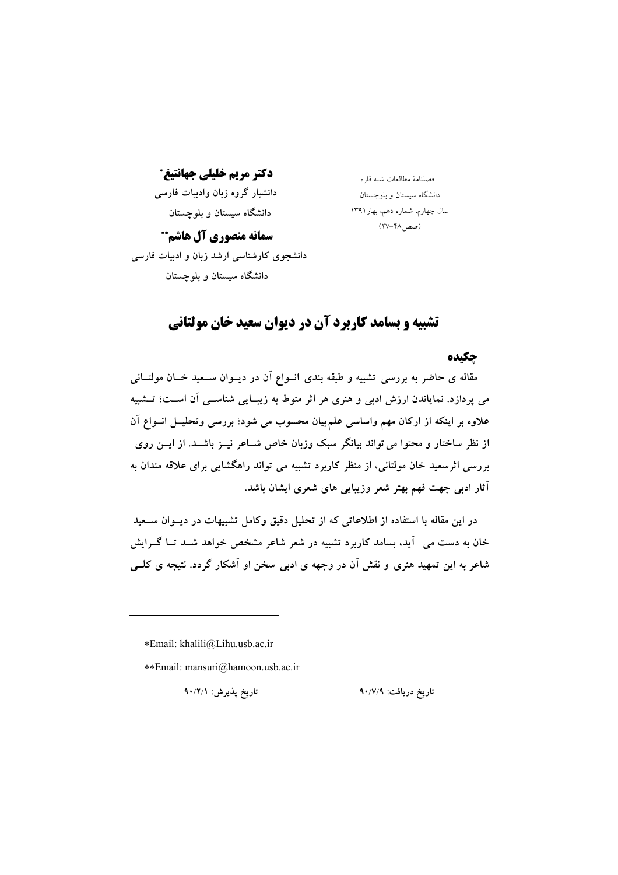دکتر مريم خليلي جهانتيغ\*

دانشیار گروه زبان وادبیات فارسی دانشگاه سیستان و بلوچستان

دانشگاه سیستان و بلوچستان سال چهارم، شماره دهم، بهار ١٣٩١ (صص1۸–۲۷)

فصلنامهٔ مطالعات شهرقاره

سمانه منصوري آل هاشم\*\* دانشجوی کارشناسی ارشد زبان و ادبیات فارسی دانشگاه سیستان و بلوچستان

# **تشییه و بسامد کاربرد آن در دیوان سعید خان مولتانی**

#### چکیده

مقاله ی حاضر به بررسی تشبیه و طبقه بندی انــواع آن در دیــوان ســعید خــان مولتــانی می پردازد. نمایاندن ارزش ادبی و هنری هر اثر منوط به زیبـایی شناســی آن اســت؛ تــشبیه علاوه بر اینکه از ارکان مهم واساسی علم بیان محسوب می شود؛ بررسی وتحلیــل انــواع آن از نظر ساختار و محتوا می تواند بیانگر سبک وزبان خاص شــاعر نیــز باشــد. از ایــن روی بررسی اثرسعید خان مولتانی، از منظر کاربرد تشبیه می تواند راهگشایی برای علاقه مندان به آثار ادبی جهت فهم بهتر شعر وزیبایی های شعری ایشان باشد.

در این مقاله با استفاده از اطلاعاتی که از تحلیل دقیق وکامل تشبیهات در دیــوان ســعید .<br>خان به دست می آید، بسامد کاربرد تشبیه در شعر شاعر مشخص خواهد شــد تــا گــرایش شاعر به این تمهید هنری و نقش آن در وجهه ی ادبی سخن او آشکار گردد. نتیجه ی کلبی

\*Email: khalili@Lihu.usb.ac.ir

\*\*Email: mansuri@hamoon.usb.ac.ir

تارىخ پذيرش: ٩٠/٢/١

تاریخ دریافت: ۹۰/۷/۹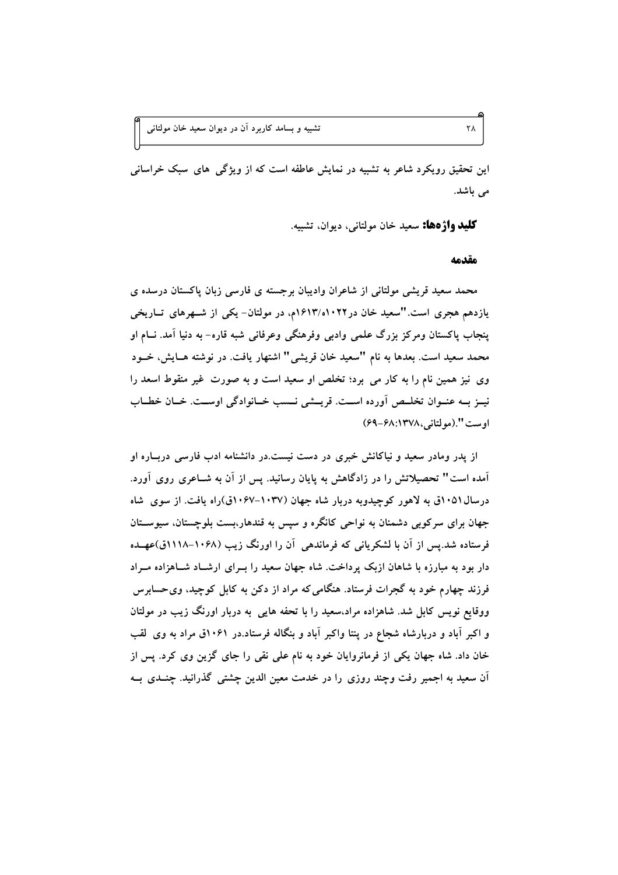این تحقیق رویکرد شاعر به تشبیه در نمایش عاطفه است که از ویژگی های سبک خراسانی می باشد.

**کليد واژهها:** سعيد خان مولتاني، ديوان، تشبيه.

مقدمه

محمد سعید قریشی مولتانی از شاعران وادیبان برجسته ی فارسی زبان پاکستان درسده ی یازدهم هجری است. "سعید خان در ۱۶۱۳/۰۱۰۲۲م، در مولتان- یکی از شـهرهای تــاریخی ينجاب پاکستان ومرکز بزرگ علمی وادبی وفرهنگی وعرفانی شبه قاره- به دنیا آمد. نــام او محمد سعید است. بعدها به نام "سعید خان قریشی" اشتهار یافت. در نوشته هـایش، خــود وی نیز همین نام را به کار می برد؛ تخلص او سعید است و به صورت غیر منقوط اسعد را نيــز بــه عنــوان تخلــص آورده اســت. قريــشي نــسب خــانوادگي اوســت. خــان خطــاب اوست ".(مولتانی،١٣٧٨:١٣٧٨هـ٤٩)

از پدر ومادر سعید و نیاکانش خبری در دست نیست.در دانشنامه ادب فارسی دربیاره او آمده است" تحصیلاتش را در زادگاهش به پایان رسانید. پس از آن به شــاعری روی آورد. درسال ۱۰۵۱ق به لاهور کوچیدویه دربار شاه جهان (۱۰۳۷–۱۰۶۷ق)راه یافت. از سوی شاه جهان برای سرکوبی دشمنان به نواحی کانگره و سپس به قندهار،بست بلوچستان، سیوسـتان فرستاده شد.پس از آن با لشکریانی که فرماندهی آن را اورنگ زیب (۱۰۶۸–۱۱۱۸ق)عهـده دار بود به مبارزه با شاهان ازبک پرداخت. شاه جهان سعید را بـرای ارشـاد شـاهزاده مـراد فرزند چهارم خود به گجرات فرستاد. هنگامی که مراد از دکن به کابل کوچید، وی حسابرس ووقایع نویس کابل شد. شاهزاده مراد،سعید را با تحفه هایی به دربار اورنگ زیب در مولتان و اکبر آباد و دربارشاه شجاع در پنتا واکبر آباد و بنگاله فرستاد.در ۱۰۶۱ق مراد به وی لقب خان داد. شاه جهان یکی از فرمانروایان خود به نام علی نقی را جای گزین وی کرد. پس از آن سعید به اجمیر رفت وچند روزی را در خدمت معین الدین چشتی گذرانید. چنــدی بــه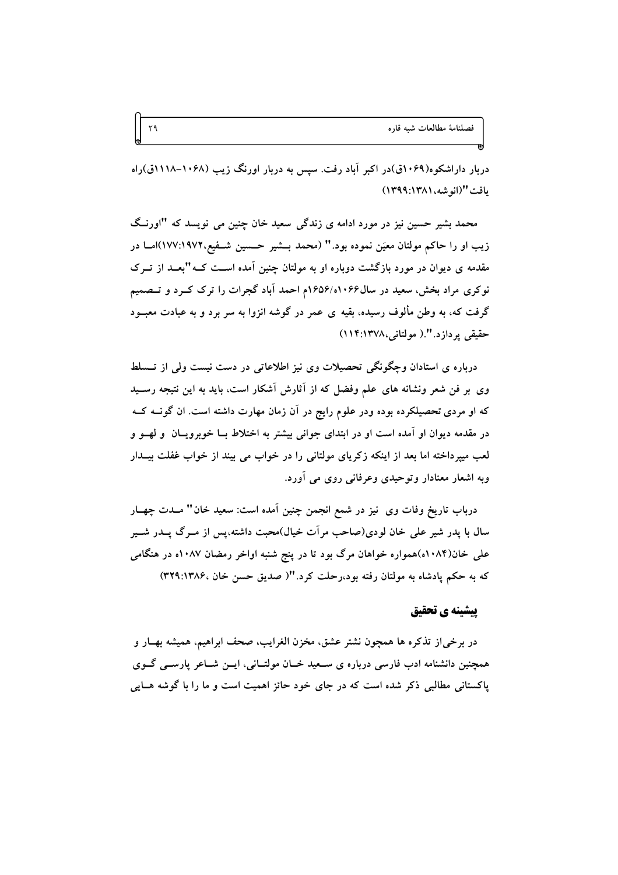دربار داراشکوه(۱۰۶۹ق)در اکبر آباد رفت. سپس به دربار اورنگ زیب (۱۰۶۸–۱۱۱۸ق)راه يافت "(انو شه، ١٣٨١:١٣٩٩)

محمد بشیر حسین نیز در مورد ادامه ی زندگی سعید خان چنین می نویسد که "اورنگ زیب او را حاکم مولتان معیَن نموده بود." (محمد بــشیر حــسین شــفیع،١٩٧٢:١٩٧٧)امــا در مقدمه ی دیوان در مورد بازگشت دوباره او به مولتان چنین آمده اسـت کــه"بعــد از تــرک نو کړي مړاد بخش، سعید در سال۱۰۶۶(۱۰۶۵۶م احمد آباد گجرات را تړک کــرد و تــصمیم گرفت که، به وطن مألوف رسیده، بقیه ی عمر در گوشه انزوا به سر برد و به عبادت معبــود حقيقي يردازد.".( مولتاني،١٣٧٨:١١٣)

درباره ی استادان وچگونگی تحصیلات وی نیز اطلاعاتی در دست نیست ولی از تــسلط وی بر فن شعر ونشانه های علم وفضل که از آثارش آشکار است، باید به این نتیجه رسـید که او مردی تحصیلکرده بوده ودر علوم رایج در آن زمان مهارت داشته است. ان گونــه کــه در مقدمه دیوان او آمده است او در ابتدای جوانی بیشتر به اختلاط بــا خوبرویــان ً و لهــو و لعب میپرداخته اما بعد از اینکه زکریای مولتانی را در خواب می بیند از خواب غفلت بیــدار وبه اشعار معنادار وتوحیدی وعرفانی روی می آورد.

درباب تاریخ وفات وی نیز در شمع انجمن چنین اَمده است: سعید خان" مــدت چهــار سال با پدر شیر علی خان لودی(صاحب مراّت خیال)محبت داشته،پس از مــرگ پــدر شــیر علمی خان(۱۰۸۴ه)همواره خواهان مرگ بود تا در پنج شنبه اواخر رمضان ۱۰۸۷ه در هنگامی که به حکم یادشاه به مولتان رفته بود،رحلت کرد."( صدیق حسن خان ،۱۳۸۶:۱۳۸۶)

# يبشينه ي تحقيق

در برخي/ز تذكره ها همچون نشتر عشق، مخزن الغرايب، صحف ابراهيم، هميشه بهــار و همچنین دانشنامه ادب فارسی درباره ی سـعید خـان مولتـانی، ایــن شــاعر پارســی گــوی پاکستانی مطالبی ذکر شده است که در جای خود حائز اهمیت است و ما را با گوشه هـایی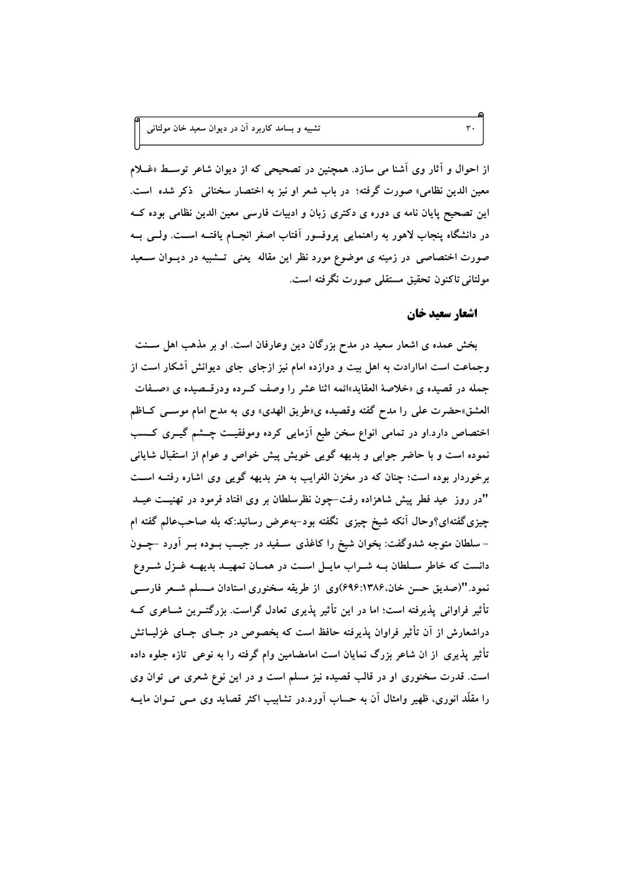از احوال و آثار وی آشنا می سازد. همچنین در تصحیحی که از دیوان شاعر توسـط «غــلام معین الدین نظامی» صورت گرفته؛ در باب شعر او نیز به اختصار سخنانی ذکر شده است. این تصحیح پایان نامه ی دوره ی دکتری زبان و ادبیات فارسی معین الدین نظامی بوده کــه در دانشگاه پنجاب لاهور به راهنمایی پروفسور آفتاب اصغر انجــام یافتــه اســت. ولــی بــه صورت اختصاصی در زمینه ی موضوع مورد نظر این مقاله یعنی تسشبیه در دیسوان سبعید مولتاني تاكنون تحقيق مستقلي صورت نگرفته است.

# اشعار سعيد خان

 $\mathbf{r}$  .

بخش عمده ی اشعار سعید در مدح بزرگان دین وعارفان است. او بر مذهب اهل ســنت وجماعت است اماارادت به اهل بیت و دوازده امام نیز ازجای جای دیوانش أشکار است از جمله در قصیده ی «خلاصهٔ العقاید»ائمه اثنا عشر را وصف کـرده ودرقــصیده ی «صــفات العشق»حضرت على را مدح گفته وقصيده ي«طريق الهدي» وي به مدح امام موسـَّى كــاظم اختصاص دارد.او در تمامی انواع سخن طبع آزمایی کرده وموفقیت چشم گیــری کــسب نموده است و با حاضر جوابی و بدیهه گویی خویش پیش خواص و عوام از استقبال شایانی برخوردار بوده است؛ چنان که در مخزن الغرایب به هنر بدیهه گویی وی اشاره رفتــه اســت "در روز ً عید فطر پیش شاهزاده رفت-چون نظرسلطان بر وی افتاد فرمود در تهنیــت عیــد چیزی گفتهای؟وحال آنکه شیخ چیزی نگفته بود-بهعرض رسانید:که بله صاحبعالم گفته ام – سلطان متوجه شدوگفت: بخوان شیخ را کاغذی سـفید در جیــب بــوده بــر آورد –چــون دانست که خاطر سلطان بـه شـراب مايـل اسـت در همـان تمهيـد بديهـه غـزل شـروع نمود."(صدیق حسن خان،۱۳۸۶:۶۹۶)وی از طریقه سخنوری استادان مــسلم شــعر فارســی تأثیر فراوانی پذیرفته است؛ اما در این تأثیر پذیری تعادل گراست. بزرگتــرین شــاعری کــه دراشعارش از آن تأثیر فراوان پذیرفته حافظ است که بخصوص در جــای جــای غزلیــاتش تأثیر پذیری از ان شاعر بزرگ نمایان است امامضامین وام گرفته را به نوعی تازه جلوه داده است. قدرت سخنوری او در قالب قصیده نیز مسلم است و در این نوع شعری می توان وی را مقلَّد انوری، ظهیر وامثال آن به حساب آورد.در تشابیب اکثر قصاید وی مـبی تــوان مایــه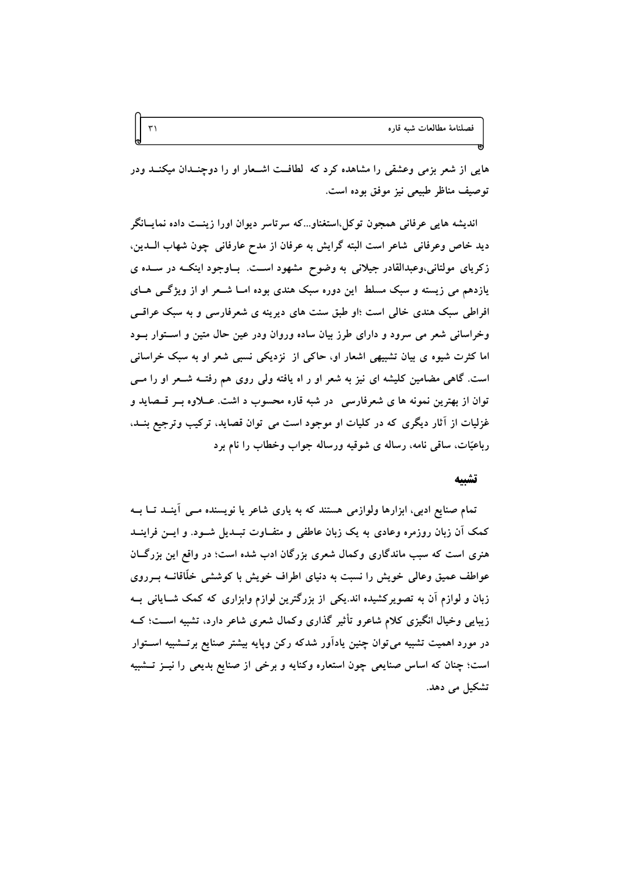هایی از شعر بزمی وعشقی را مشاهده کرد که گطافت اشـعار او را دوچنــدان میکنــد ودر توصيف مناظر طبيعي نيز موفق بوده است.

 $\mathbf{r}$ 

انديشه هايي عرفاني همجون توكل،استغناو…كه سرتاسر ديوان اورا زينــت داده نمايــانگر ديد خاص وعرفاني شاعر است البته گرايش به عرفان از مدح عارفاني چون شهاب الــدين، زکریای مولتانی،وعبدالقادر جیلانی به وضوح مشهود است. بـاوجود اینکــه در ســده ی یازدهم می زیسته و سبک مسلط این دوره سبک هندی بوده امــا شــعر او از ویژگــی هــای افراطی سبک هندی خالی است ؛او طبق سنت های دیرینه ی شعرفارسی و به سبک عراقبی وخراسانی شعر می سرود و دارای طرز بیان ساده وروان ودر عین حال متین و استوار بود اما کثرت شیوه ی بیان تشبیهی اشعار او، حاکی از نزدیکی نسبی شعر او به سبک خراسانی است. گاهی مضامین کلیشه ای نیز به شعر او ر اه یافته ولی روی هم رفتــه شــعر او را مــی توان از بهترین نمونه ها ی شعرفارسی در شبه قاره محسوب د اشت. عــلاوه بــر قــصاید و غزلیات از آثار دیگری که در کلیات او موجود است می توان قصاید، ترکیب وترجیع بنــد، رباعیّات، ساقی نامه، رساله ی شوقیه ورساله جواب وخطاب را نام برد

#### تشىيە

تمام صنایع ادبی، ابزارها ولوازمی هستند که به یاری شاعر یا نویسنده مسی آینــد تــا بــه کمک آن زبان روزمره وعادی به یک زبان عاطفی و متفــاوت تبــدیل شــود. و ایــن فراینــد هنری است که سبب ماندگاری وکمال شعری بزرگان ادب شده است؛ در واقع این بزرگــان عواطف عمیق وعالی خویش را نسبت به دنیای اطراف خویش با کوششی خلّاقانــه بــرروی زبان و لوازم آن به تصویرکشیده اند.یکی از بزرگترین لوازم وابزاری که کمک شــایانی بــه زیبایی وخیال انگیزی کلام شاعرو تأثیر گذاری وکمال شعری شاعر دارد، تشبیه اسـت؛ کــه در مورد اهمیت تشبیه می توان چنین یادآور شدکه رکن وپایه بیشتر صنایع برتــشبیه اســتوار است؛ چنان که اساس صنایعی چون استعاره وکنایه و برخی از صنایع بدیعی را نیــز تــشبیه تشکیل می دهد.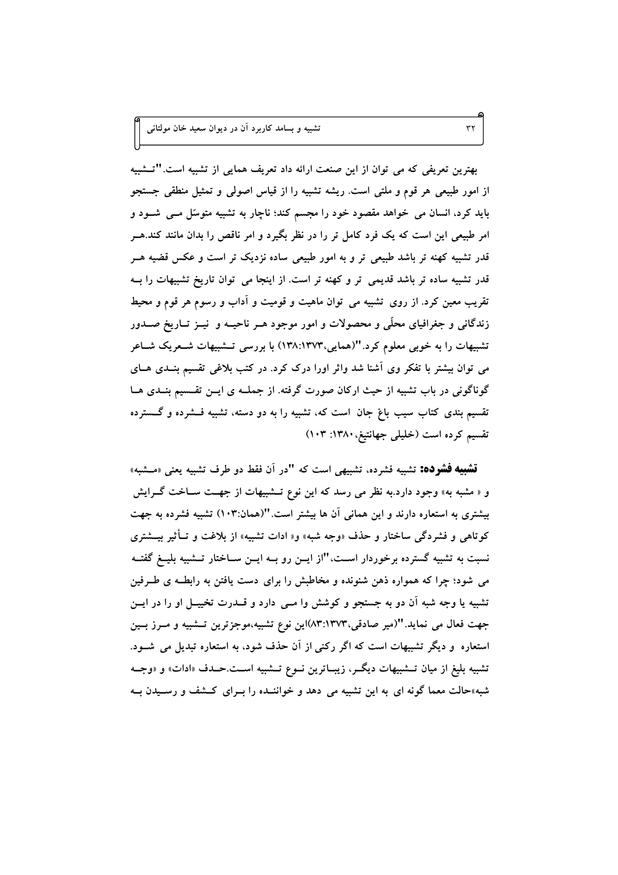بهترین تعریفی که می توان از این صنعت ارائه داد تعریف همایی از تشبیه است."تــشبیه از امور طبیعی هر قوم و ملتی است. ریشه تشبیه را از قیاس اصولی و تمثیل منطقی جستجو باید کرد، انسان می خواهد مقصود خود را مجسم کند؛ ناچار به تشبیه متوسّل مــی شــود و امر طبیعی این است که یک فرد کامل تر را در نظر بگیرد و امر ناقص را بدان مانند کند.هــر قدر تشبیه کهنه تر باشد طبیعی تر و به امور طبیعی ساده نزدیک تر است و عکس قضیه هــر قدر تشبیه ساده تر باشد قدیمی تر و کهنه تر است. از اینجا می توان تاریخ تشبیهات را بــه تقریب معین کرد. از روی تشبیه می توان ماهیت و قومیت و آداب و رسوم هر قوم و محیط زندگانی و جغرافیای محلّی و محصولات و امور موجود هـر ناحیــه و نیــز تــاریخ صــدور تشبیهات را به خوبی معلوم کرد."(همایی،۱۳۷۳:۱۳۷۳) با بررسی تــشبیهات شــعریک شــاعر می توان بیشتر با تفکر وی آشنا شد واثر اورا درک کرد. در کتب بلاغی تقسیم بنــدی هــای گوناگونی در باب تشبیه از حیث ارکان صورت گرفته. از جملــه ی ایــن تقــسیم بنــدی هــا تقسیم بندی کتاب سیب باغ جان است که، تشبیه را به دو دسته، تشبیه فــشرده و گـــسترده تقسیم کرده است (خلیلی جهانتیغ، ۱۳۸۰: ۱۰۳)

**تشبیه فشرده:** تشبیه فشرده، تشبیهی است که "در آن فقط دو طرف تشبیه یعنی «مــشبه» و « مشبه به» وجود دارد.به نظر می رسد که این نوع تــشبیهات از جهــت ســاخت گــرایش بیشتری به استعاره دارند و این همانی آن ها بیشتر است."(همان:۱۰۳) تشبیه فشرده به جهت کوتاهی و فشردگی ساختار و حذف «وجه شبه» و« ادات تشبیه» از بلاغت و تــأثیر بیـــشتری نسبت به تشبیه گسترده برخوردار اسـت،"از ایــن رو بــه ایــن ســاختار تــشبیه بلیــغ گفتــه می شود؛ چرا که همواره ذهن شنونده و مخاطبش را برای دست یافتن به رابطـه ی طــرفین تشبیه یا وجه شبه آن دو به جستجو و کوشش وا مــی دارد و قــدرت تخییــل او را در ایــن جهت فعال می نماید."(میر صادقی،۱۳۷۳\۸۳)این نوع تشبیه،موجزترین تــشبیه و مــرز بــین استعاره و دیگر تشبیهات است که اگر رکنی از آن حذف شود، به استعاره تبدیل می شـود. تشبیه بلیغ از میان تــشبیهات دیگــر، زیبــاترین نــوع تــشبیه اســت.حــدف «ادات» و «وجــه شبه»حالت معما گونه ای به این تشبیه می دهد و خواننـده را بـرای کـشف و رسـیدن بـه

 $\tau\tau$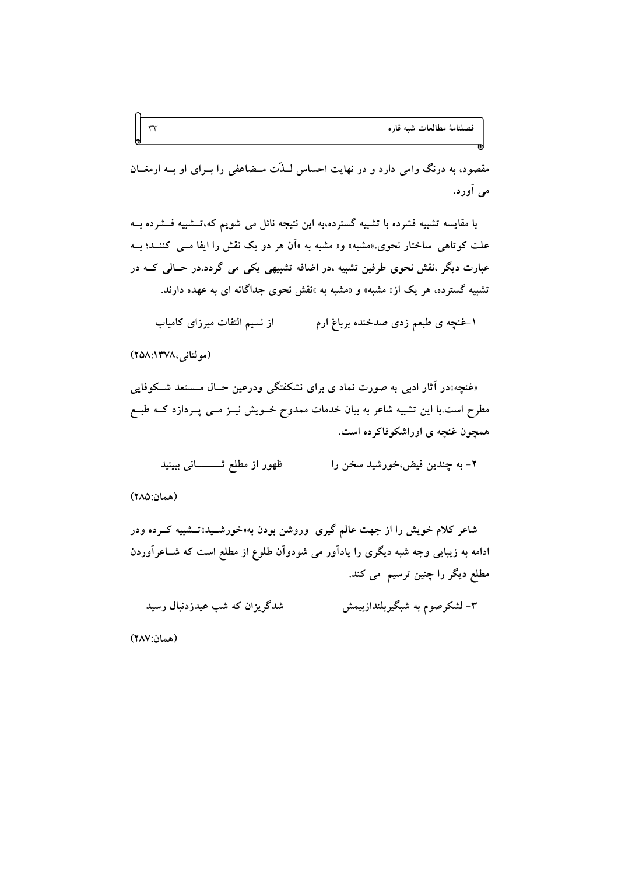مقصود، به درنگ وامی دارد و در نهایت احساس لــذّت مــضاعفی را بــرای او بــه ارمغــان می آورد.

با مقایسه تشبیه فشرده با تشبیه گسترده،به این نتیجه نائل می شویم که،تــشبیه فــشرده بــه علت کو تاهی ِ ساختار نحوی،«مشبه» و« مشبه به »اَن هر دو یک نقش را ایفا مــی کننــد؛ بــه عبارت ديگر ،نقش نحوي طرفين تشبيه ،در اضافه تشبيهي يکي مي گردد.در حــالي کــه در تشبیه گسترده، هر یک از« مشبه» و «مشبه به »نقش نحوی جداگانه ای به عهده دارند.

۱-غنچه ی طبعم زدی صدخنده برباغ ارم هستم از نسیم التفات میرزای کامیاب

(مولتانی،١٣٧٨:١٣٥٨)

 $\tau\tau$ 

«غنچه»در آثار ادبی به صورت نماد ی برای نشکفتگی ودرعین حـال مـستعد شـکوفایی مطرح است.با این تشبیه شاعر به بیان خدمات ممدوح خــویش نیــز مــی پــردازد کــه طبــع همچون غنچه ی اوراشکوفاکرده است.

ظهور از مطلع ثــــــــانى ببينيد ۲- به چندین فیض،خورشید سخن را

(همان: ٢٨٥)

شاعر کلام خویش را از جهت عالم گیری وروشن بودن به«خورشــید»تــشبیه کــرده ودر ادامه به زیبایی وجه شبه دیگری را یادآور می شودوآن طلوع از مطلع است که شــاعرآوردن مطلع دیگر را چنین ترسیم می کند.

۳– لشکر صوم به شبگیربلندازبیمش شدگریزان که شب عیدزدنبال رسید

(همان:٢٨٧)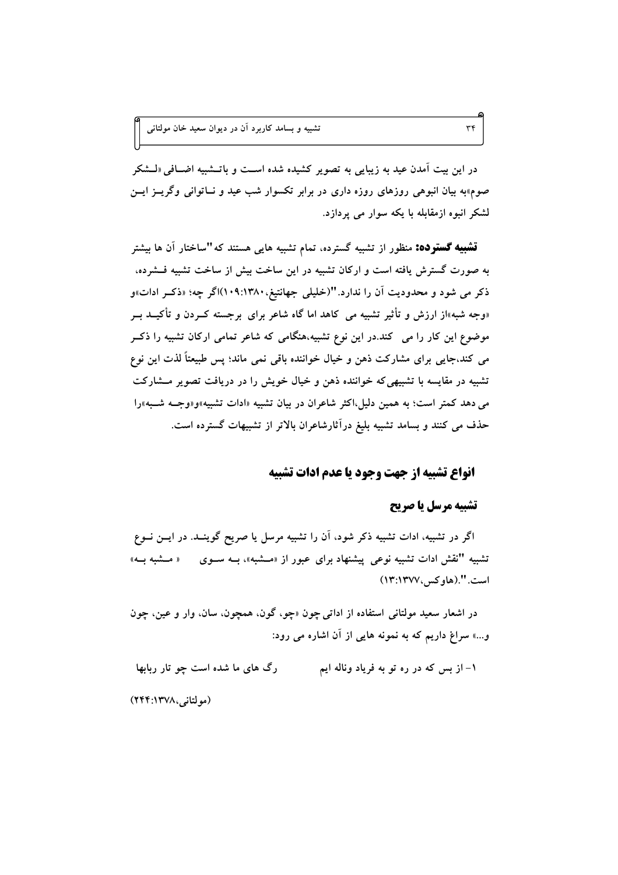در این بیت آمدن عید به زیبایی به تصویر کشیده شده است و باتــشبیه اضــافی «لــشکر صوم»به بیان انبوهی روزهای روزه داری در برابر تکسوار شب عید و نــاتوانی وگریــز ایــن لشکر انبوه ازمقابله با یکه سوار می پردازد.

**تشبیه گسترده:** منظور از تشبیه گسترده، تمام تشبیه هایی هستند که"ساختار آن ها بیشتر به صورت گسترش یافته است و ارکان تشبیه در این ساخت بیش از ساخت تشبیه فــشرده، ذکر می شود و محدودیت آن را ندارد. "(خلیلی جهانتیغ،۱۳۸۰؛۱۰۹)اگر چه؛ «ذکـر ادات»و «وجه شبه»از ارزش و تأثیر تشبیه می کاهد اما گاه شاعر برای برجسته کــردن و تأکیــد بــر موضوع این کار را می کند.در این نوع تشبیه،هنگامی که شاعر تمامی ارکان تشبیه را ذکـر می کند،جایی برای مشارکت ذهن و خیال خواننده باقی نمی ماند؛ پس طبیعتاً لذت این نوع تشبیه در مقایسه با تشبیهی که خواننده ذهن و خیال خویش را در دریافت تصویر مشارکت می دهد کمتر است؛ به همین دلیل،اکثر شاعران در بیان تشبیه «ادات تشبیه»و«وجــه شــبه»را حذف می کنند و بسامد تشبیه بلیغ درآثارشاعران بالاتر از تشبیهات گسترده است.

# انواع تشيبه از حهت وحود يا عدم ادات تشيبه

# تشيبه مرسل يا صريح

اگر در تشبیه، ادات تشبیه ذکر شود، اَن را تشبیه مرسل یا صریح گوینــد. در ایــن نــوع تشبیه "نقش ادات تشبیه نوعی پیشنهاد برای عبور از «مــشبه»، بــه ســوی « مــشبه بــه» است. ".(هاو کس ، ١٣٧٧: ١٣)

در اشعار سعید مولتانی استفاده از اداتی چون «چو، گون، همچون، سان، وار و عین، چون و…» سراغ داریم که به نمونه هایی از آن اشاره می رود:

۱- از بس که در ره تو به فریاد وناله ایم رگ های ما شده است چو تار ربابها (مولتانی،۱۳۷۸:۱۴۴)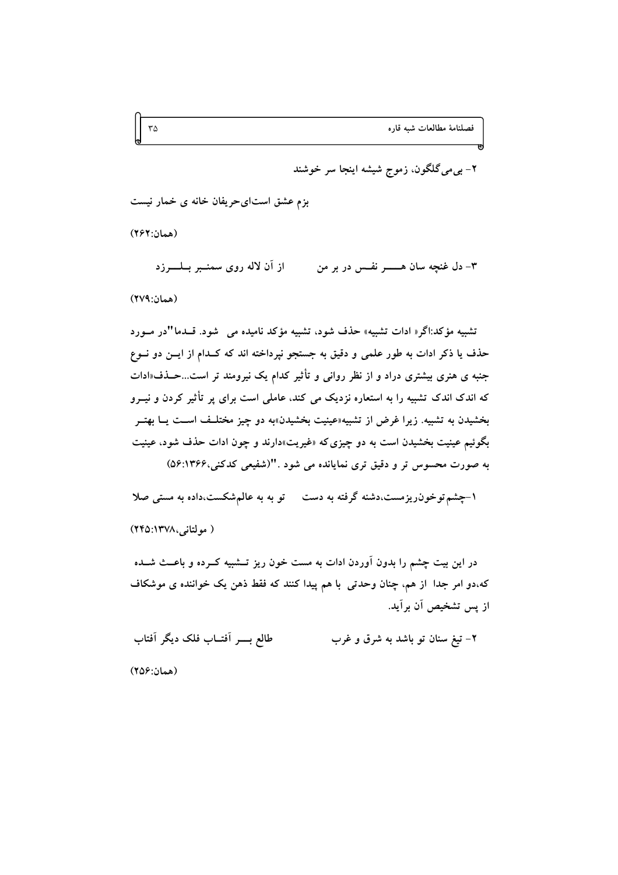فصلنامة مطالعات شبه قاره

۲– بی می گلگون، زموج شیشه اینجا سر خوشند

بزم عشق استایحریفان خانه ی خمار نیست

(همان: ٢۶٢)

از آن لاله روی سمنــبر بــلــــــرزد ۳- دل غنچه سان هـــــــــــر نفـــس در بر من (همان:٢٧٩)

تشبیه مؤکد:اگر« ادات تشبیه» حذف شود، تشبیه مؤکد نامیده می گشود. قــدما "در مــورد حذف یا ذکر ادات به طور علمی و دقیق به جستجو نپرداخته اند که کــدام از ایــن دو نــوع جنبه ی هنری بیشتری دراد و از نظر روان<sub>ی</sub> و تأثیر کدام یک نیرومند تر است...حــذف«ادات که اندک اندک تشبیه را به استعاره نزدیک می کند، عاملی است برای پر تأثیر کردن و نیــرو بخشیدن به تشبیه. زیرا غرض از تشبیه«عینیت بخشیدن»به دو چیز مختلـف اسـت یــا بهتــر بگوئیم عینیت بخشیدن است به دو چیزی که «غیریت»دارند و چون ادات حذف شود، عینیت به صورت محسوس تر و دقیق تری نمایانده می شود ."(شفیعی کدکنی،۱۳۶۶:۵۶)

۱-چشم توخون ریزمست،دشنه گرفته به دست در تو به به عالم شکست،داده به مستی صلا

( مولتانی،۱۳۷۸:۲۴۵)

در این بیت چشم را بدون آوردن ادات به مست خون ریز تـــشبیه کــرده و باعـــث شــده كه،دو امر جدا از هم، چنان وحدتی با هم پیدا كنند كه فقط ذهن یک خواننده ی موشكاف از پس تشخیص آن برآید.

طالع بسر أفتــاب فلك ديگر أفتاب ۲- تیغ سنان تو باشد به شرق و غرب

(همان:۲۵۶)

 $\mathbf{r}\Delta$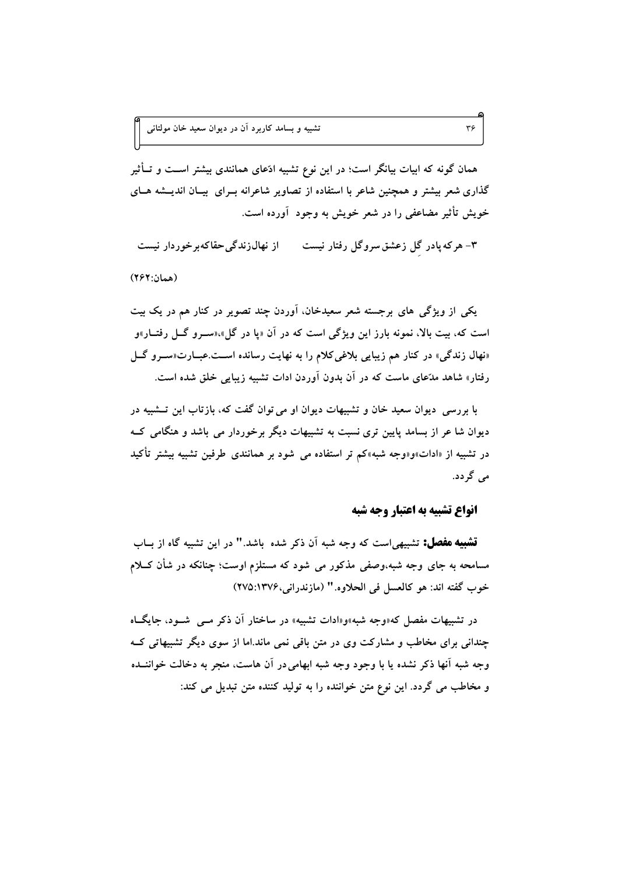تشبیه و بسامد کاربرد آن در دیوان سعید خان مولتان<sub>ی</sub>

همان گونه که ابیات بیانگر است؛ در این نوع تشبیه ادّعای همانندی بیشتر اســت و تــأثیر گذاری شعر بیشتر و همچنین شاعر با استفاده از تصاویر شاعرانه بــرای بیــان اندیــشه هــای خویش تأثیر مضاعفی را در شعر خویش به وجود آورده است.

۳- هرکه یادر گل زعشق سروگل رفتار نیست ه از نهال(ندگی حقاکهبرخوردار نیست

(همان:٢۶٢)

یکی از ویژگی های برجسته شعر سعیدخان، آوردن چند تصویر در کنار هم در یک بیت است که، بیت بالا، نمونه بارز این ویژگی است که در آن «یا در گل»،«سـرو گــل رفتــار»و «نهال زندگی» در کنار هم زیبایی بلاغیکلام را به نهایت رسانده اسـت.عبــارت«ســرو گـــل رفتار» شاهد مدّعای ماست که در آن بدون آوردن ادات تشبیه زیبایی خلق شده است.

با بررسی ِ دیوان سعید خان و تشبیهات دیوان او می توان گفت که، بازتاب این تــشبیه در دیوان شا عر از بسامد پایین تری نسبت به تشبیهات دیگر برخوردار می باشد و هنگامی کـه در تشبیه از «ادات»و«وجه شبه»کم تر استفاده می شود بر همانندی طرفین تشبیه بیشتر تأکید می گردد.

انواع تشبيه به اعتبار وجه شبه

 $\tau$ ۶

قشبیه مفصل: تشبیهی است که وجه شبه آن ذکر شده باشد." در این تشبیه گاه از بــاب مسامحه به جای وجه شبه،وصفی مذکور می شود که مستلزم اوست؛ چنانکه در شأن کــلام خوب گفته اند: هو كالعسل في الحلاوه." (مازندراني،١٣٧۶:٢٧٥)

در تشبیهات مفصل که«وجه شبه»و«ادات تشبیه» در ساختار آن ذکر مـبي شـود، جایگـاه چندانی برای مخاطب و مشارکت وی در متن باقی نمی ماند.اما از سوی دیگر تشبیهاتی کــه وجه شبه آنها ذکر نشده یا با وجود وجه شبه ابهامی در آن هاست، منجر به دخالت خواننــده و مخاطب مي گردد. اين نوع متن خواننده را به توليد كننده متن تبديل مي كند: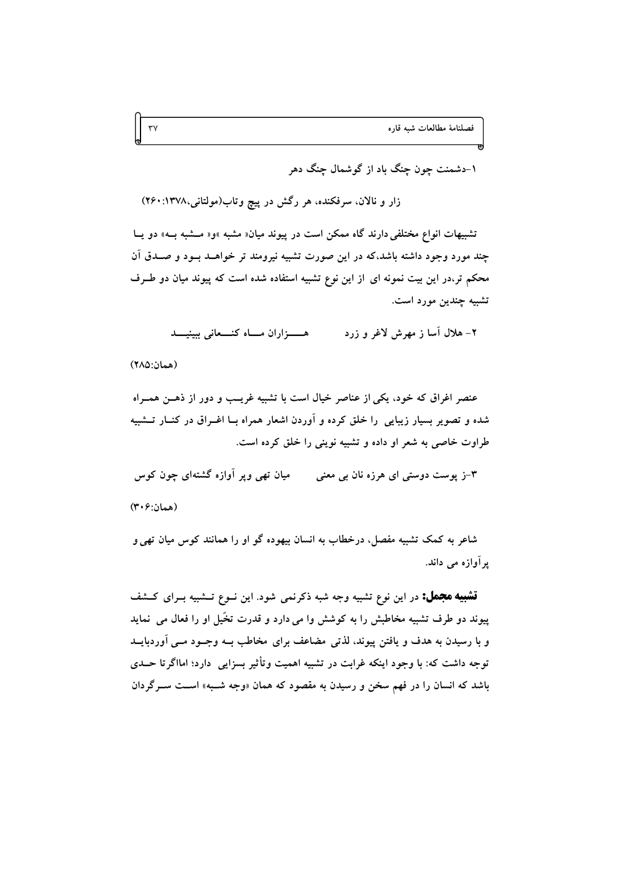۱-دشمنت چون چنگ باد از گوشمال چنگ دهر

زار و نالان، سرفکنده، هر رگش در پیچ وتاب(مولتانی،۱۳۷۸: ۲۶۰)

تشبیهات انواع مختلفی دارند گاه ممکن است در پیوند میان« مشبه »و« مــشبه بــه» دو پــا چند مورد وجود داشته باشد،که در این صورت تشبیه نیرومند تر خواهــد بــود و صــدق آن محکم تر،در این بیت نمونه ای از این نوع تشبیه استفاده شده است که پیوند میان دو طـرف تشبيه چندين مورد است.

> ۲– هلال آسا ز مهرش لاغر و زرد هـــزاران مــاه كنـــعانى ببينيـــد

(همان:٢٨٥)

عنصر اغراق که خود، یکی از عناصر خیال است با تشبیه غریب و دور از ذهـن همـراه شده و تصویر بسیار زیبایی ًرا خلق کرده و آوردن اشعار همراه بــا اغــراق در کنــار تــشبیه طراوت خاصی به شعر او داده و تشبیه نوینی را خلق کرده است.

۳-ز یوست دوستی ای هرزه نان بی معنی مسلف تھی ویر آوازه گشتهای چون کوس (همان:۴۰۶)

شاعر به کمک تشبیه مفصل، درخطاب به انسان بیهوده گو او را همانند کوس میان تهی و یر آوازہ مے داند.

**تشبیه مجمل:** در این نوع تشبیه وجه شبه ذکرنمی شود. این نــوع تــشبیه بــرای کــشف پیوند دو طرف تشبیه مخاطبش را به کوشش وا می دارد و قدرت تخّیل او را فعال می نماید و با رسیدن به هدف و یافتن پیوند، لذتی مضاعف برای مخاطب بــه وجــود مــی آوردبایــد توجه داشت که: با وجود اینکه غرابت در تشبیه اهمیت وتأثیر بسزایی دارد؛ امااگرتا حــدی باشد که انسان را در فهم سخن و رسیدن به مقصود که همان «وجه شــبه» اســت ســرگردان

 $\mathsf{r}\mathsf{v}$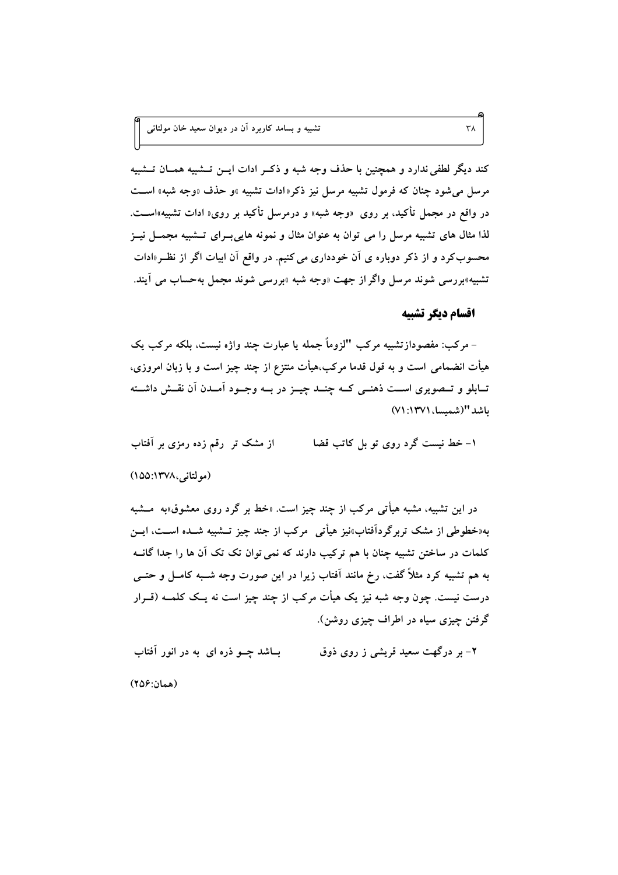تشبیه و بسامد کاربرد آن در دیوان سعید خان مولتان<sub>ی</sub>

کند دیگر لطفی ندارد و همچنین با حذف وجه شبه و ذکـر ادات ایــن تــشبیه همــان تــشبیه مرسل می شود چنان که فرمول تشبیه مرسل نیز ذکر«ادات تشبیه »و حذف «وجه شبه» است در واقع در مجمل تأکید، بر روی «وجه شبه» و درمرسل تأکید بر روی« ادات تشبیه»اســت. لذا مثال های تشبیه مرسل را می توان به عنوان مثال و نمونه هایی بـرای تــشبیه مجمــل نیــز محسوب کرد و از ذکر دوباره ی آن خودداری می کنیم. در واقع آن ابیات اگر از نظـر«ادات تشبیه»بررسی شوند مرسل واگر از جهت «وجه شبه »بررسی شوند مجمل بهحساب می آیند.

### اقسام دىگر تشىيە

 $\uparrow \uparrow \uparrow$ 

– مرکب: مفصودازتشبیه مرکب "لزوماً جمله یا عبارت چند واژه نیست، بلکه مرکب یک هیأت انضمامی است و به قول قدما مرکب،هیأت منتزع از چند چیز است و با زبان امروزی، تــابلو و تــصويرى اســت ذهنــي كــه چنــد چيــز در بــه وجــود آمــدن آن نقــش داشــته باشد "(شمسا، ١٣٧١: ٧١)

۱- خط نیست گرد روی تو بل کاتب قضا از مشک تر رقم زده رمزی بر آفتاب (مولتانی،۱۳۷۸:۱۵۵)

در این تشبیه، مشبه هیأتی مرکب از چند چیز است. «خط بر گرد روی معشوق»به مــشبه به«خطوطی از مشک تربرگرداَفتاب»نیز هیأتی ً مرکب از جند چیز تــشبیه شــده اســت، ایــن کلمات در ساختن تشبیه چنان با هم ترکیب دارند که نمی توان تک تک آن ها را جدا گانــه به هم تشبیه کرد مثلاً گفت، رخ مانند آفتاب زیرا در این صورت وجه شــبه کامــل و حتــی درست نیست. چون وجه شبه نیز یک هیأت مرکب از چند چیز است نه یــک کلمــه (قــرار گرفتن چیزی سیاه در اطراف چیزی روشن).

بــاشد چـــو ذره ای به در انور آفتاب ۲- بر درگهت سعید قریشی ز روی ذوق (همان:۲۵۶)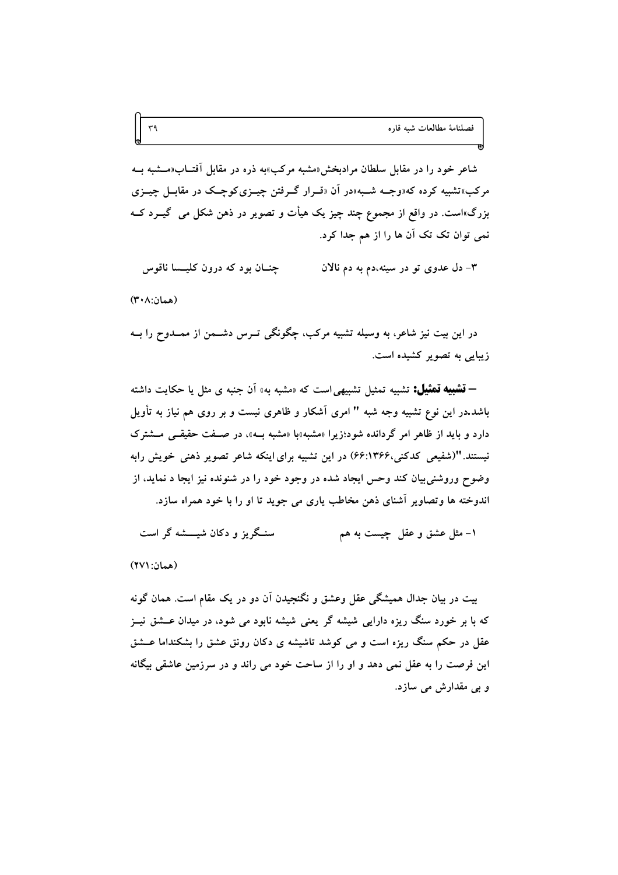شاعر خود را در مقابل سلطان مرادبخش«مشبه مرکب»به ذره در مقابل آفتــاب«مــشبه بــه مرکب»تشبیه کرده که«وجــه شــبه»در آن «قــرار گــرفتن چیــزیکوچــک در مقابــل چیــزی بزرگ»است. در واقع از مجموع چند چیز یک هیأت و تصویر در ذهن شکل می گیــرد کــه نمی توان تک تک آن ها را از هم جدا کرد.

چنــان بود که درون کلیــسا ناقوس ۳– دل عدوی تو در سینه،دم به دم نالان

(همان:۲۰۸)

در این بیت نیز شاعر، به وسیله تشبیه مرکب، چگونگی تـرس دشــمن از ممــدوح را بــه زیبایی به تصویر کشیده است.

**– تشبیه تمثیل:** تشبیه تمثیل تشبیهی است که «مشبه به» آن جنبه ی مثل یا حکایت داشته باشد.در این نوع تشبیه وجه شبه " امری آشکار و ظاهری نیست و بر روی هم نیاز به تأویل دارد و باید از ظاهر امر گردانده شود؛زیرا «مشبه»با «مشبه بـه»، در صـفت حقیقــی مــشترک نیستند. "(شفیعی کدکنی،۴۶۶:۴۶) در این تشبیه برای اینکه شاعر تصویر ذهنی خویش رابه وضوح وروشنی بیان کند وحس ایجاد شده در وجود خود را در شنونده نیز ایجا د نماید، از اندوخته ها وتصاویر آشنای ذهن مخاطب یاری می جوید تا او را با خود همراه سازد.

سنگریز و دکان شیشه گر است ١- مثل عشق و عقل چیست به هم

(همان: ۲۷۱)

بیت در بیان جدال همیشگی عقل وعشق و نگنجیدن آن دو در یک مقام است. همان گونه که با بر خورد سنگ ریزه دارایی شیشه گر یعنی شیشه نابود می شود، در میدان عــشق نیــز عقل در حکم سنگ ریزه است و می کوشد تاشیشه ی دکان رونق عشق را بشکنداما عــشق این فرصت را به عقل نمی دهد و او را از ساحت خود می راند و در سرزمین عاشقی بیگانه و بي مقدارش مي سازد.

 $r_{\theta}$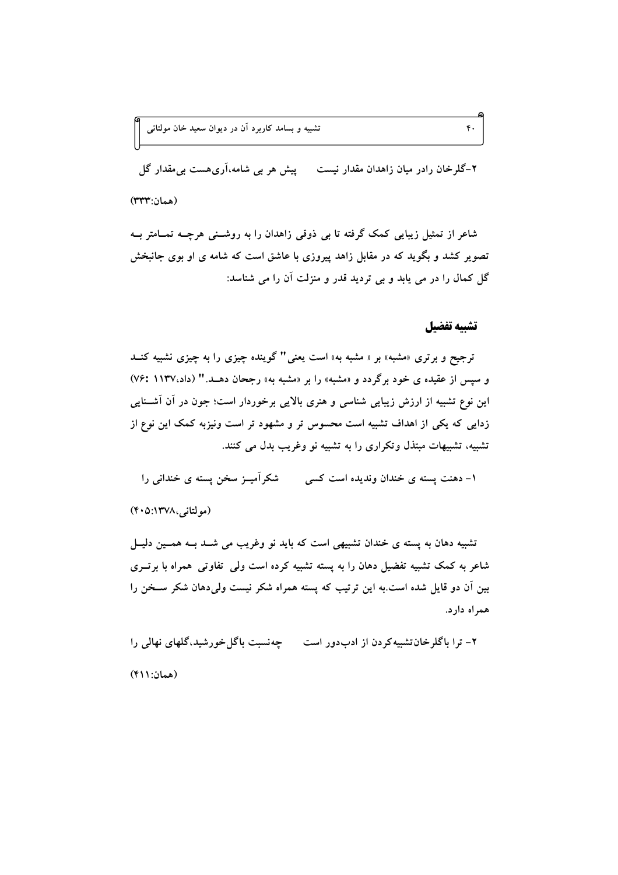۲-گلرخان رادر میان زاهدان مقدار نیست میپش هر بی شامه،آریهست بی مقدار گل (همان:۳۳۳)

شاعر از تمثیل زیبایی کمک گرفته تا بی ذوقی زاهدان را به روشـنی هرچــه تمــامتر بــه تصویر کشد و بگوید که در مقابل زاهد پیروزی با عاشق است که شامه ی او بوی جانبخش گل کمال را در می پابد و بی تردید قدر و منزلت آن را می شناسد:

#### تشييه تفضيل

 $\mathfrak{r}$ .

ترجیح و برتری «مشبه» بر « مشبه به» است یعنی" گوینده چیزی را به چیزی نشبیه کنــد و سپس از عقیده ی خود برگردد و «مشبه» را بر «مشبه به» رجحان دهـد." (داد،۱۱۳۷ :۷۶) این نوع تشبیه از ارزش زیبایی شناسی و هنری بالایی برخوردار است؛ جون در آن آشـنایی زدایی که یکی از اهداف تشبیه است محسوس تر و مشهود تر است ونیزبه کمک این نوع از تشبیه، تشبیهات مبتذل وتکراری را به تشبیه نو وغریب بدل می کنند.

۱- دهنت پسته ی خندان وندیده است کسی مسلّکر آمیــز سخن پسته ی خندانی را

(مولتانی،۱۳۷۸:۴۰۵)

تشبیه دهان به پسته ی خندان تشبیهی است که باید نو وغریب می شـد بـه همـین دلیـل شاعر به کمک تشبیه تفضیل دهان را به پسته تشبیه کرده است ولمی تفاوتی همراه با برتـری بین آن دو قایل شده است.به این ترتیب که پسته همراه شکر نیست ولی دهان شکر سـخن را همراه دارد.

۲- ترا باگلرخان تشبیه کردن از ادبدور است می سیت باگل خورشید،گلهای نهالی را (همان: ۴۱۱)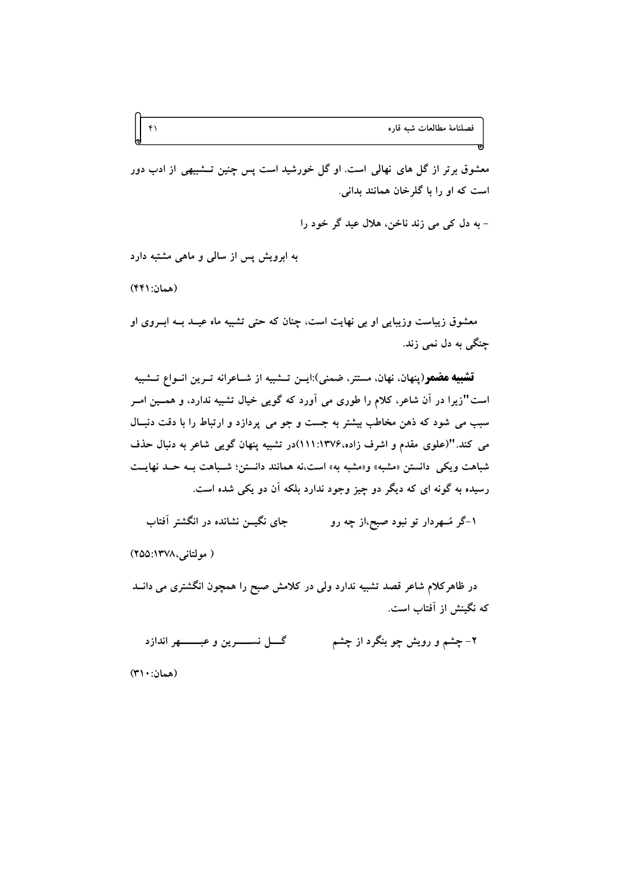فصلنامة مطالعات شبه قاره

معشوق برتر از گل های نهالی است. او گل خورشید است پس چنین تــشبیهی از ادب دور است که او را با گلرخان همانند بدانی.

- به دل کې مې زند ناخن، هلال عيد گړ خود را

به ابرویش پس از سالی و ماهی مشتبه دارد

(همان: ۴۴۱)

 $f \cap$ 

معشوق زیباست وزیبایی او بی نهایت است، چنان که حتی تشبیه ماه عیــد بــه ابــروی او چنگ<sub>ی</sub> به دل نمی زند.

**تشبیه هضمو**(پنهان، نهان، مستتر، ضمنی):ایــن تــشبیه از شــاعرانه تــرین انــواع تــشبیه است"زیرا در آن شاعر، کلام را طوری می آورد که گویی خیال تشبیه ندارد، و همسین امـر سبب مي شود كه ذهن مخاطب بيشتر به جست و جو مي پردازد و ارتباط را با دقت دنبـال می کند. "(علوی مقدم و اشرف زاده،۱۳۷۶:۱۱۱)در تشبیه پنهان گویی شاعر به دنبال حذف شباهت ويكي دانستن «مشبه» و«مشبه به» است،نه همانند دانستن؛ شـباهت بــه حــد نهايــت رسیده به گونه ای که دیگر دو چیز وجود ندارد بلکه آن دو یکی شده است.

حای نگیـــ; نشانده در انگشتر آفتاب ۱–گر مُــهردار تو نبود صبح،از چه رو

( مولتانی، ۱۳۷۸: ۲۵۵)

در ظاهرکلام شاعر قصد تشبیه ندارد ولی در کلامش صبح را همچون انگشتری می دانــد که نگینش از آفتاب است.

گـــــل نســـــــــــوين و عبـــــــــــهر اندازد ۲– چشم و رویش چو بنگرد از چشم

(همان: ۳۱۰)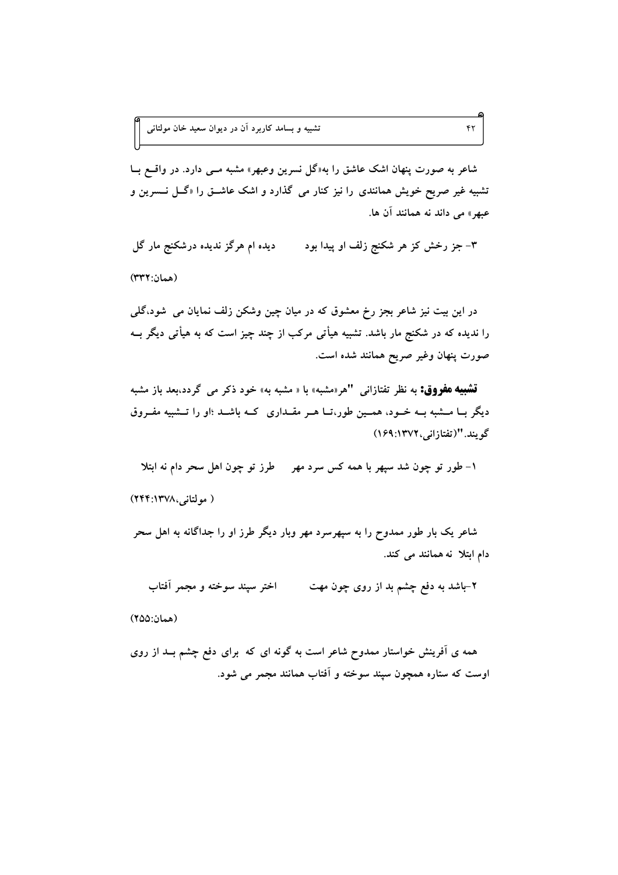.<br>تشبیه و بسامد کاربرد آن در دیوان سعید خان مولتان<sub>ی</sub>

شاعر به صورت پنهان اشک عاشق را به«گل نسرین وعبهر» مشبه مـبی دارد. در واقــع بــا تشبیه غیر صریح خویش همانندی را نیز کنار می گذارد و اشک عاشــق را «گــل نـــسرین و عبهر» می داند نه همانند آن ها.

 $\mathbf{f}$ 

دیده ام هرگز ندیده درشکنج مار گل ۳– جز رخش کز هر شکنج زلف او پیدا بود (همان: ٣٣٢)

در این بیت نیز شاعر بجز رخ معشوق که در میان چین وشکن زلف نمایان می شود،گلی را ندیده که در شکنج مار باشد. تشبیه هیأتی مرکب از چند چیز است که به هیأتی دیگر بــه صورت پنهان وغیر صریح همانند شده است.

قشبیه مفروق: به نظر تفتازانی "هر«مشبه» با « مشبه به» خود ذکر می گردد،بعد باز مشبه دیگر بــا مـــشبه بــه خــود، همـــین طور،تــا هــر مقــداری کــه باشــد ؛او را تـــشبیه مفــروق گويند. "(تفتازاني،١٣٧٢:١٦٩)

۱- طور تو چون شد سپهر با همه کس سرد مهر طرز تو چون اهل سحر دام نه ابتلا ( مولتانی،۱۳۷۸:۲۴۴)

شاعر یک بار طور ممدوح را به سپهرسرد مهر وبار دیگر طرز او را جداگانه به اهل سحر دام ابتلا نه همانند می کند.

اختر سپند سوخته و مجمر آفتاب ۲–باشد به دفع چشم بد از روی چون مهت

(همان:۲۵۵)

همه ی آفرینش خواستار ممدوح شاعر است به گونه ای که برای دفع چشم بـد از روی اوست که ستاره همچون سپند سوخته و اَفتاب همانند مجمر می شود.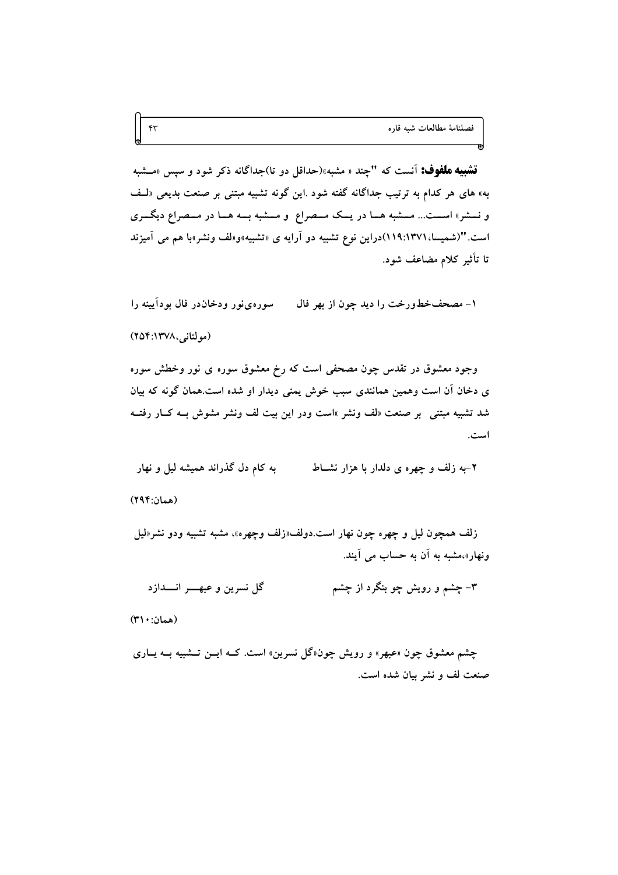فصلنامة مطالعات شبه قاره

قشبیه ملفوف: آنست که "چند « مشبه»(حداقل دو تا)جداگانه ذکر شود و سپس «مــشبه به» های هر کدام به ترتیب جداگانه گفته شود .این گونه تشبیه مبتنی بر صنعت بدیعی «لـف و نسشر» اسـت... مــشبه هـا در يــک مــصراع و مــشبه بــه هــا در مــصراع ديگــرى است. "(شمیسا، ۱۳۷۱)۱۹:۱۱)دراین نوع تشبیه دو آرایه ی «تشبیه»و«لف ونشر»با هم می آمیزند تا تأثير كلام مضاعف شود.

سورهىفور ودخاندر فال بودآيينه را ١- مصحفخطورخت را ديد چون از بهر فال (مولتانی، ۲۵۴:۱۳۷۸)

وجود معشوق در تقدس چون مصحفی است که رخ معشوق سوره ی نور وخطش سوره ی دخان آن است وهمین همانندی سبب خوش یمنی دیدار او شده است.همان گونه که بیان شد تشبیه مبتنی بر صنعت «لف ونشر »است ودر این بیت لف ونشر مشوش بـه کــار رفتــه است.

به کام دل گذراند همیشه لیل و نهار ۲-به زلف و چهره ی دلدار با هزار نشــاط (همان:۲۹۴)

زلف همچون ليل و چهره چون نهار است.دولف«زلف وچهره»، مشبه تشبيه ودو نشر«ليل ونهار»،مشبه به آن به حساب می آیند.

۳– چشم و رویش چو بنگرد از چشم گل نسرين و عبهــــر انـــــدازد

(همان: ۳۱۰)

 $\mathfrak{f}\mathfrak{r}$ 

چشم معشوق چون «عبهر» و رویش چون«گل نسرین» است. کــه ایــن تــشبیه بــه یــاری صنعت لف و نشر بيان شده است.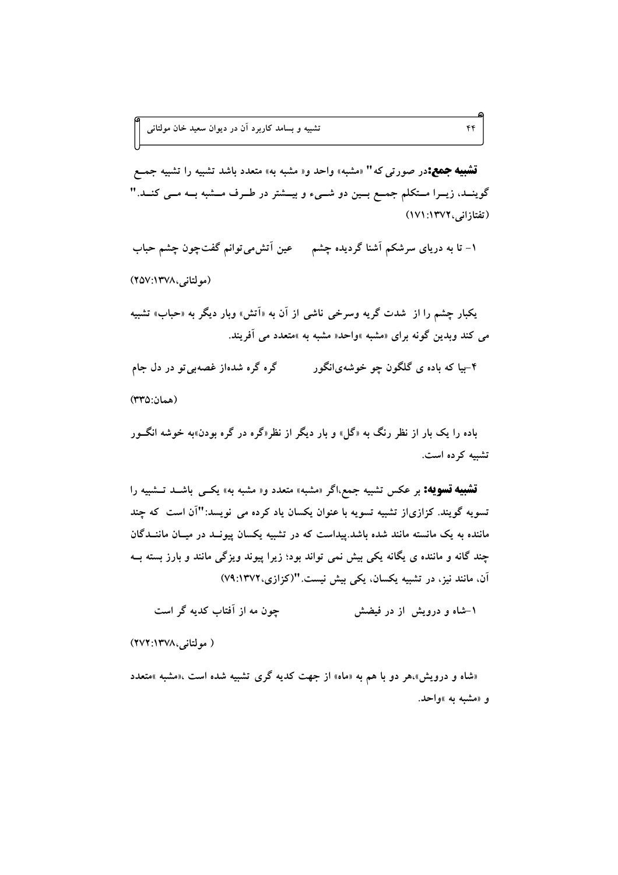.<br>تشبیه و بسامد کاربرد آن در دیوان سعید خان مولتان<sub>ی</sub>

**تشبیه جمع:**در صورت<sub>ی</sub> که " «مشبه» واحد و« مشبه به» متعدد باشد تشبیه را تشبیه جمــع گوینــد، زیــرا مــتکلم جمــع بــین دو شــیء و بیــشتر در طــرف مــشبه بــه مــی کنــد. " (تفتازانی، ۱۳۷۲: ۱۷۱)

 $\mathfrak{f}$ 

۱- تا به دریای سرشکم آشنا گردیده چشم مسمعین آتش می توانم گفت چون چشم حباب

(مولتانی،۱۳۷۸:۱۵۷)

يکبار چشم را از شدت گر په وسرخي ناشي از آن به «اَتش» وبار ديگر به «حباب» تشبيه می کند ویدین گونه برای «مشبه »واحد« مشبه به »متعدد می آفریند.

۴–بیا که باده ی گلگون چو خوشهیانگور گره گره شدهاز غصهبی تو در دل جام (همان:٣٣٥)

باده را یک بار از نظر رنگ به «گل» و بار دیگر از نظر«گره در گره بودن»به خوشه انگــور تشبه کرده است.

**تشبیه تسویه:** بر عکس تشبیه جمع،اگر «مشبه» متعدد و« مشبه به» یکــی باشــد تــشبیه را تسویه گویند. کزازیاز تشبیه تسویه با عنوان یکسان یاد کرده می نویسد:"آن است که چند ماننده به یک مانسته مانند شده باشد.پیداست که در تشبیه یکسان پیونــد در میــان ماننــدگان چند گانه و ماننده ی یگانه یکی بیش نمی تواند بود؛ زیرا پیوند ویزگی مانند و بارز بسته بــه آن، مانند نیز، در تشبیه یکسان، یکی بیش نیست. "(کزازی، ۷۹:۱۳۷۲)

چون مه از آفتاب کدیه گر است ۱-شاه و درویش از در فیضش

( مولتانی،۱۳۷۸:۲۷۲)

«شاه و درویش».هر دو با هم به «ماه» از جهت کدیه گری تشبیه شده است ،«مشبه »متعدد و «مشبه به »واحد.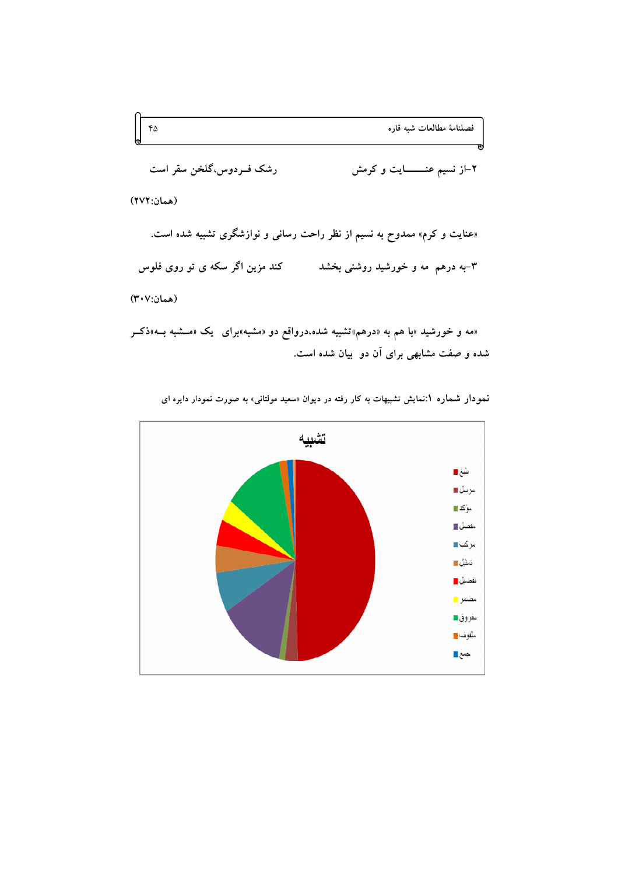

«مه و خورشید »با هم به «درهم»تشبیه شده،درواقع دو «مشبه»برای یک «مــشبه بــه»ذکــر شده و صفت مشابهی برای آن دو بیان شده است.



نمهودار شماره ۱:نمایش تشبیهات به کار رفته در دیوان «سعید مولتانی» به صورت نمودار دایره ای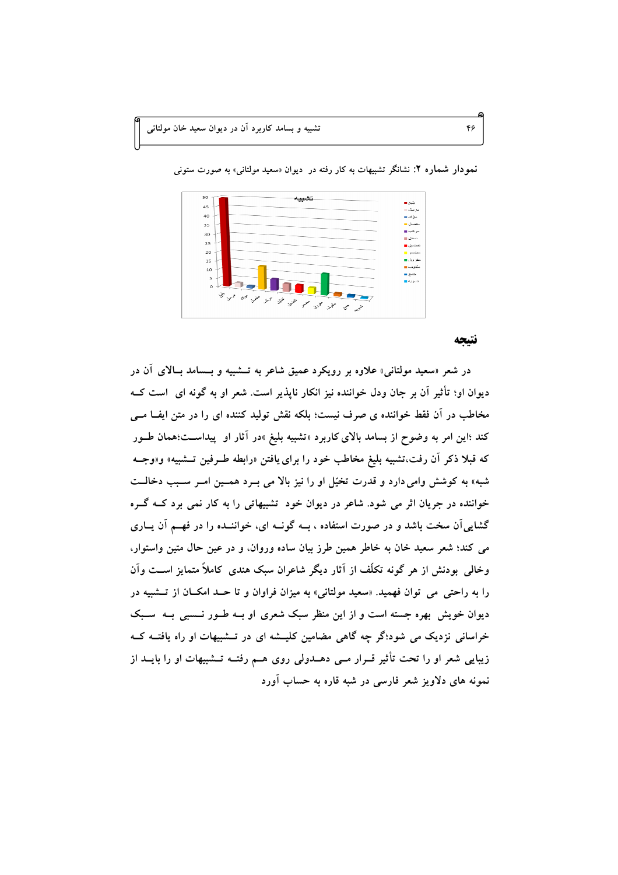| 50       | تشا                                            |                     |
|----------|------------------------------------------------|---------------------|
| 45       |                                                | ىلىغ ■<br>سرسل⊑     |
| 40       |                                                | ∼ؤكد⊞               |
| 35       |                                                | مفصل ■              |
| 30       |                                                | حركت ⊞              |
| 25       |                                                | نىنىل ⊞             |
|          |                                                | نفضيل ■             |
| 20       |                                                | مضمن د              |
| 15       |                                                | مفروق ■<br>مثفو ف ■ |
| $10\,$   |                                                | حسح د               |
| 5        |                                                | تسويه■              |
| $\rm{O}$ |                                                |                     |
|          |                                                |                     |
|          | 4 yr yr yr yr yr yr<br>$s^{\gamma}$ , $\gamma$ |                     |
|          | حنجي ستجمع                                     |                     |
|          |                                                |                     |

نمودار شماره ۲: نشانگر تشبیهات به کار رفته در دیوان «سعید مولتانی» به صورت ستونی

#### نتتحه

در شعر «سعید مولتانی» علاوه بر رویکرد عمیق شاعر به تــشبیه و بــسامد بــالای آن در دیوان او؛ تأثیر آن بر جان ودل خواننده نیز انکار ناپذیر است. شعر او به گونه ای است کــه مخاطب در اَن فقط خواننده ی صرف نیست؛ بلکه نقش تولید کننده ای را در متن ایف امــی کند ؛این امر به وضوح از بسامد بالای کاربرد «تشبیه بلیغ »در آثار او پیداســت؛همان طــور که قبلاً ذکر آن رفت،تشبیه بلیغ مخاطب خود را برای یافتن «رابطه طـرفین تــشبیه» و«وجــه شبه» به کوشش وامی دارد و قدرت تخیّل او را نیز بالا می بـرد همـین امـر سـبب دخالــت خواننده در جریان اثر می شود. شاعر در دیوان خود تشبیهاتی را به کار نمی برد کــه گــره گشایی آن سخت باشد و در صورت استفاده ، بــه گونــه ای، خواننــده را در فهــم آن پــاری می کند؛ شعر سعید خان به خاطر همین طرز بیان ساده وروان، و در عین حال متین واستوار، وخالمی بودنش از هر گونه تکلّف از آثار دیگر شاعران سبک هندی کاملاً متمایز اســت وآن را به راحتی می توان فهمید. «سعید مولتانی» به میزان فراوان و تا حـد امکــان از تــشبیه در دیوان خویش بهره جسته است و از این منظر سبک شعری او بــه طــور نــسبی بــه ًســبک خراسانی نزدیک می شود؛گر چه گاهی مضامین کلیـشه ای در تـشبیهات او راه یافتــه کــه زیبایی شعر او را تحت تأثیر قــرار مــی دهــدولی روی هــم رفتــه تــشبیهات او را بایــد از نمونه های دلاویز شعر فارسی در شبه قاره به حساب آورد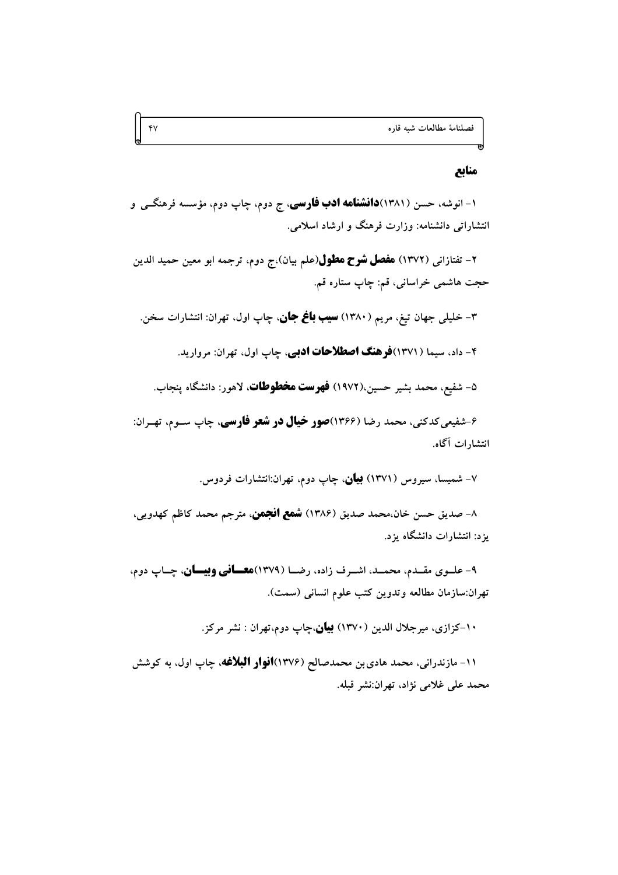#### منابع

۱- انوشه، حسن (۱۳۸۱)**دانشنامه ادب فارسی**، ج دوم، چاپ دوم، مؤسسه فرهنگــی و انتشاراتی دانشنامه: وزارت فرهنگ و ارشاد اسلامی.

 $Y$ 

۲– تفتازانی (۱۳۷۲) **هفصل شوح هطول**(علم بیان)،ج دوم، ترجمه ابو معین حمید الدین حجت هاشمي خراساني، قم: چاپ ستاره قم.

۳- خلیل<sub>ی</sub> جهان تیغ، مریم (۱۳۸۰) **سیب باغ جان**، چاپ اول، تهران: انتشارات سخن.

۴- داد، سیما (۱۳۷۱)**فرهنگ اصطلاحات ادبی**، چاپ اول، تهران: مروارید.

۵– شفيع، محمد بشير حسين،(١٩٧٢) **فهرست مخطوطات**، لاهور: دانشگاه ينجاب.

۶-شفیعی کدکنی، محمد رضا (۱۳۶۶)**صور خیال در شعر فارسی**، چاپ ســوم، تهــران: انتشارات آگاه.

۷– شمیسا، سیروس (۱۳۷۱) **بیان**، چاپ دوم، تهران:انتشارات فردوس.

۸– صديق حسن خان،محمد صديق (۱۳۸۶) **شمع انجمن**، مترجم محمد كاظم كهدويي، یزد: انتشارات دانشگاه یزد.

۹- علــوي مقــدم، محمــد، اشــرف زاده، رضــا (۱۳۷۹)ه**عـــاني وبيـــان**، چــاپ دوم، تهران:سازمان مطالعه وتدوين كتب علوم انساني (سمت).

۱۰–کزازی، میرجلال الدین (۱۳۷۰) **بیان**،چاپ دوم،تهران : نشر مرکز.

۱۱- مازندرانی، محمد هادی بن محمدصالح (۱۳۷۶**)افوار البلاغه**، چاپ اول، به کوشش محمد على غلامى نژاد، تهران:نشر قبله.